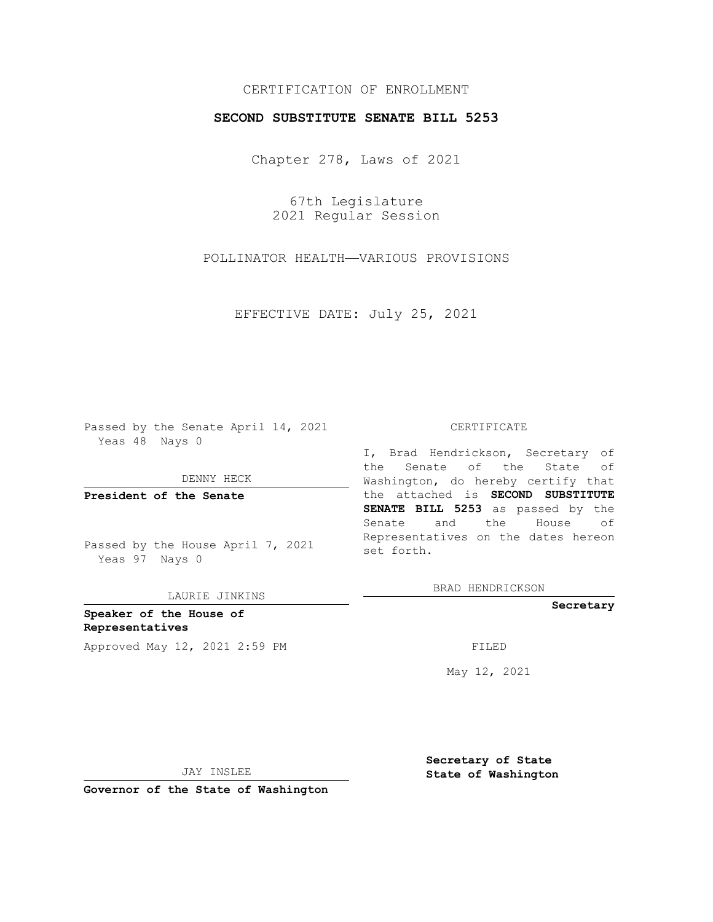## CERTIFICATION OF ENROLLMENT

## **SECOND SUBSTITUTE SENATE BILL 5253**

Chapter 278, Laws of 2021

67th Legislature 2021 Regular Session

POLLINATOR HEALTH—VARIOUS PROVISIONS

EFFECTIVE DATE: July 25, 2021

Passed by the Senate April 14, 2021 Yeas 48 Nays 0

DENNY HECK

**President of the Senate**

Passed by the House April 7, 2021 Yeas 97 Nays 0

LAURIE JINKINS

**Speaker of the House of Representatives** Approved May 12, 2021 2:59 PM FILED

#### CERTIFICATE

I, Brad Hendrickson, Secretary of the Senate of the State of Washington, do hereby certify that the attached is **SECOND SUBSTITUTE SENATE BILL 5253** as passed by the Senate and the House of Representatives on the dates hereon set forth.

BRAD HENDRICKSON

**Secretary**

May 12, 2021

JAY INSLEE

**Secretary of State State of Washington**

**Governor of the State of Washington**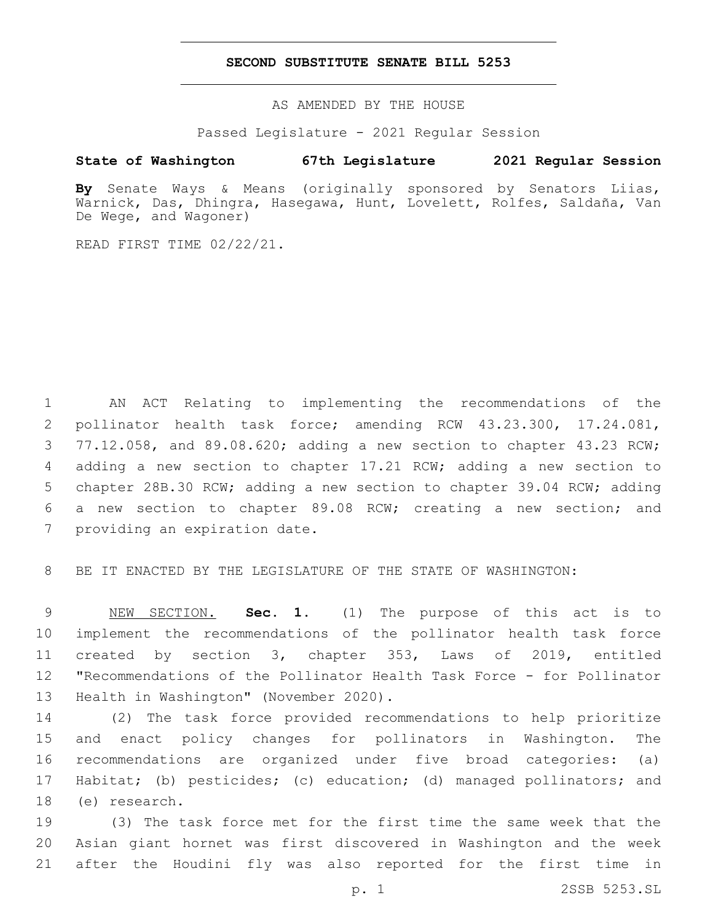### **SECOND SUBSTITUTE SENATE BILL 5253**

AS AMENDED BY THE HOUSE

Passed Legislature - 2021 Regular Session

# **State of Washington 67th Legislature 2021 Regular Session**

**By** Senate Ways & Means (originally sponsored by Senators Liias, Warnick, Das, Dhingra, Hasegawa, Hunt, Lovelett, Rolfes, Saldaña, Van De Wege, and Wagoner)

READ FIRST TIME 02/22/21.

 AN ACT Relating to implementing the recommendations of the pollinator health task force; amending RCW 43.23.300, 17.24.081, 77.12.058, and 89.08.620; adding a new section to chapter 43.23 RCW; adding a new section to chapter 17.21 RCW; adding a new section to chapter 28B.30 RCW; adding a new section to chapter 39.04 RCW; adding a new section to chapter 89.08 RCW; creating a new section; and 7 providing an expiration date.

BE IT ENACTED BY THE LEGISLATURE OF THE STATE OF WASHINGTON:

 NEW SECTION. **Sec. 1.** (1) The purpose of this act is to implement the recommendations of the pollinator health task force created by section 3, chapter 353, Laws of 2019, entitled "Recommendations of the Pollinator Health Task Force - for Pollinator Health in Washington" (November 2020).

 (2) The task force provided recommendations to help prioritize and enact policy changes for pollinators in Washington. The recommendations are organized under five broad categories: (a) Habitat; (b) pesticides; (c) education; (d) managed pollinators; and 18 (e) research.

 (3) The task force met for the first time the same week that the Asian giant hornet was first discovered in Washington and the week after the Houdini fly was also reported for the first time in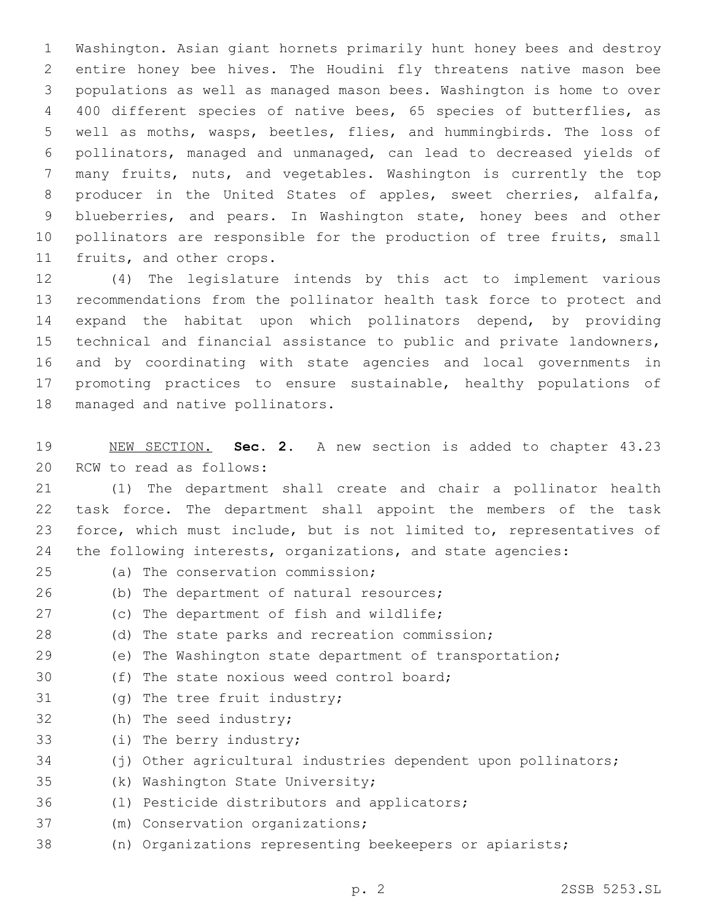Washington. Asian giant hornets primarily hunt honey bees and destroy entire honey bee hives. The Houdini fly threatens native mason bee populations as well as managed mason bees. Washington is home to over 400 different species of native bees, 65 species of butterflies, as well as moths, wasps, beetles, flies, and hummingbirds. The loss of pollinators, managed and unmanaged, can lead to decreased yields of many fruits, nuts, and vegetables. Washington is currently the top producer in the United States of apples, sweet cherries, alfalfa, blueberries, and pears. In Washington state, honey bees and other 10 pollinators are responsible for the production of tree fruits, small 11 fruits, and other crops.

 (4) The legislature intends by this act to implement various recommendations from the pollinator health task force to protect and expand the habitat upon which pollinators depend, by providing technical and financial assistance to public and private landowners, and by coordinating with state agencies and local governments in promoting practices to ensure sustainable, healthy populations of 18 managed and native pollinators.

19 NEW SECTION. **Sec. 2.** A new section is added to chapter 43.23 20 RCW to read as follows:

 (1) The department shall create and chair a pollinator health task force. The department shall appoint the members of the task force, which must include, but is not limited to, representatives of the following interests, organizations, and state agencies:

- (a) The conservation commission;25
- 26 (b) The department of natural resources;
- 27 (c) The department of fish and wildlife;
- 28 (d) The state parks and recreation commission;
- 29 (e) The Washington state department of transportation;
- 30 (f) The state noxious weed control board;
- 31 (g) The tree fruit industry;
- 32 (h) The seed industry;
- 33 (i) The berry industry;
- 34 (j) Other agricultural industries dependent upon pollinators;
- 35 (k) Washington State University;
- 36 (1) Pesticide distributors and applicators;
- 37 (m) Conservation organizations;
- 38 (n) Organizations representing beekeepers or apiarists;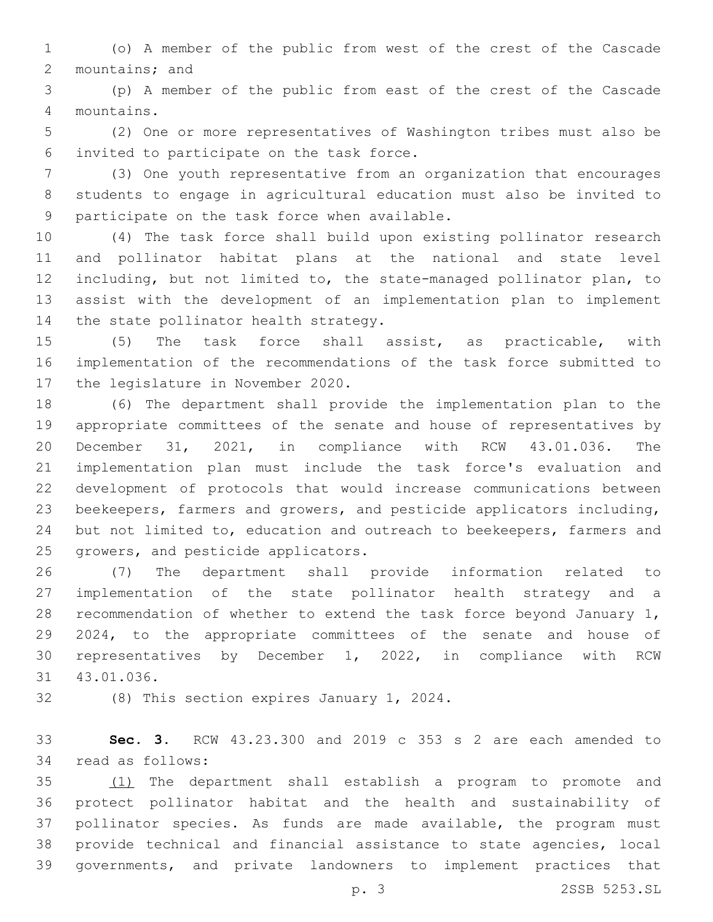(o) A member of the public from west of the crest of the Cascade 2 mountains; and

 (p) A member of the public from east of the crest of the Cascade mountains.4

 (2) One or more representatives of Washington tribes must also be invited to participate on the task force.6

 (3) One youth representative from an organization that encourages students to engage in agricultural education must also be invited to 9 participate on the task force when available.

 (4) The task force shall build upon existing pollinator research and pollinator habitat plans at the national and state level including, but not limited to, the state-managed pollinator plan, to assist with the development of an implementation plan to implement 14 the state pollinator health strategy.

 (5) The task force shall assist, as practicable, with implementation of the recommendations of the task force submitted to 17 the legislature in November 2020.

 (6) The department shall provide the implementation plan to the appropriate committees of the senate and house of representatives by December 31, 2021, in compliance with RCW 43.01.036. The implementation plan must include the task force's evaluation and development of protocols that would increase communications between beekeepers, farmers and growers, and pesticide applicators including, but not limited to, education and outreach to beekeepers, farmers and 25 growers, and pesticide applicators.

 (7) The department shall provide information related to implementation of the state pollinator health strategy and a recommendation of whether to extend the task force beyond January 1, 2024, to the appropriate committees of the senate and house of representatives by December 1, 2022, in compliance with RCW 31 43.01.036.

32 (8) This section expires January 1, 2024.

 **Sec. 3.** RCW 43.23.300 and 2019 c 353 s 2 are each amended to 34 read as follows:

 (1) The department shall establish a program to promote and protect pollinator habitat and the health and sustainability of pollinator species. As funds are made available, the program must provide technical and financial assistance to state agencies, local governments, and private landowners to implement practices that

p. 3 2SSB 5253.SL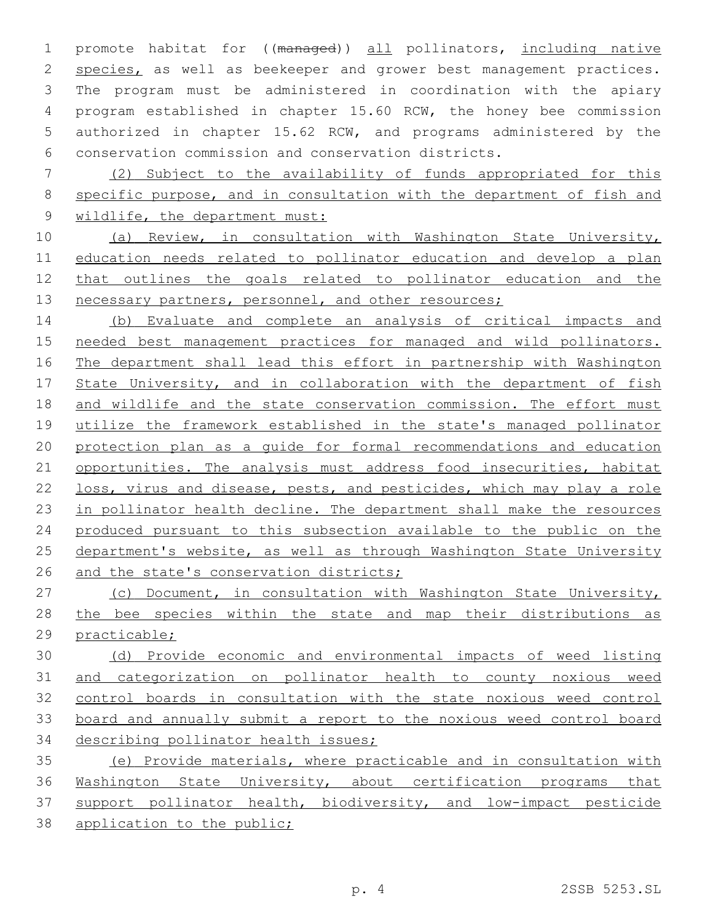promote habitat for ((managed)) all pollinators, including native 2 species, as well as beekeeper and grower best management practices. The program must be administered in coordination with the apiary program established in chapter 15.60 RCW, the honey bee commission authorized in chapter 15.62 RCW, and programs administered by the conservation commission and conservation districts.

 (2) Subject to the availability of funds appropriated for this specific purpose, and in consultation with the department of fish and wildlife, the department must:

 (a) Review, in consultation with Washington State University, education needs related to pollinator education and develop a plan that outlines the goals related to pollinator education and the 13 necessary partners, personnel, and other resources;

 (b) Evaluate and complete an analysis of critical impacts and needed best management practices for managed and wild pollinators. The department shall lead this effort in partnership with Washington 17 State University, and in collaboration with the department of fish and wildlife and the state conservation commission. The effort must 19 utilize the framework established in the state's managed pollinator protection plan as a guide for formal recommendations and education 21 opportunities. The analysis must address food insecurities, habitat loss, virus and disease, pests, and pesticides, which may play a role 23 in pollinator health decline. The department shall make the resources produced pursuant to this subsection available to the public on the 25 department's website, as well as through Washington State University 26 and the state's conservation districts;

 (c) Document, in consultation with Washington State University, 28 the bee species within the state and map their distributions as practicable;

 (d) Provide economic and environmental impacts of weed listing and categorization on pollinator health to county noxious weed control boards in consultation with the state noxious weed control board and annually submit a report to the noxious weed control board describing pollinator health issues;

 (e) Provide materials, where practicable and in consultation with Washington State University, about certification programs that support pollinator health, biodiversity, and low-impact pesticide 38 application to the public;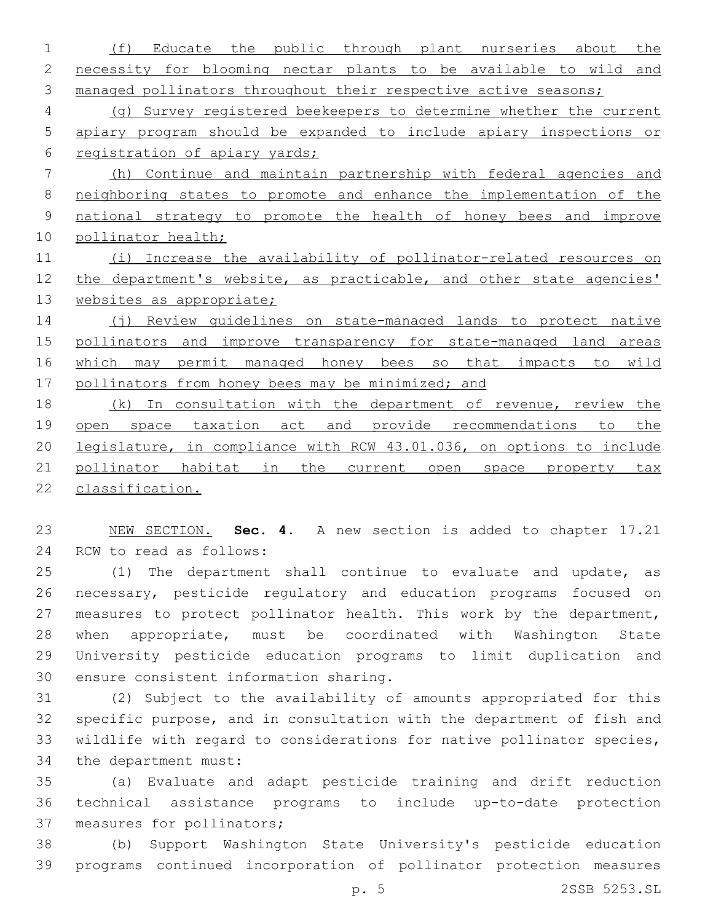(f) Educate the public through plant nurseries about the necessity for blooming nectar plants to be available to wild and 3 managed pollinators throughout their respective active seasons; (g) Survey registered beekeepers to determine whether the current apiary program should be expanded to include apiary inspections or registration of apiary yards; (h) Continue and maintain partnership with federal agencies and neighboring states to promote and enhance the implementation of the national strategy to promote the health of honey bees and improve pollinator health; 11 (i) Increase the availability of pollinator-related resources on 12 the department's website, as practicable, and other state agencies' 13 websites as appropriate; 14 (j) Review quidelines on state-managed lands to protect native pollinators and improve transparency for state-managed land areas which may permit managed honey bees so that impacts to wild 17 pollinators from honey bees may be minimized; and (k) In consultation with the department of revenue, review the 19 open space taxation act and provide recommendations to the legislature, in compliance with RCW 43.01.036, on options to include pollinator habitat in the current open space property tax

classification.

 NEW SECTION. **Sec. 4.** A new section is added to chapter 17.21 24 RCW to read as follows:

 (1) The department shall continue to evaluate and update, as necessary, pesticide regulatory and education programs focused on 27 measures to protect pollinator health. This work by the department, when appropriate, must be coordinated with Washington State University pesticide education programs to limit duplication and 30 ensure consistent information sharing.

 (2) Subject to the availability of amounts appropriated for this specific purpose, and in consultation with the department of fish and wildlife with regard to considerations for native pollinator species, 34 the department must:

 (a) Evaluate and adapt pesticide training and drift reduction technical assistance programs to include up-to-date protection 37 measures for pollinators;

 (b) Support Washington State University's pesticide education programs continued incorporation of pollinator protection measures

p. 5 2SSB 5253.SL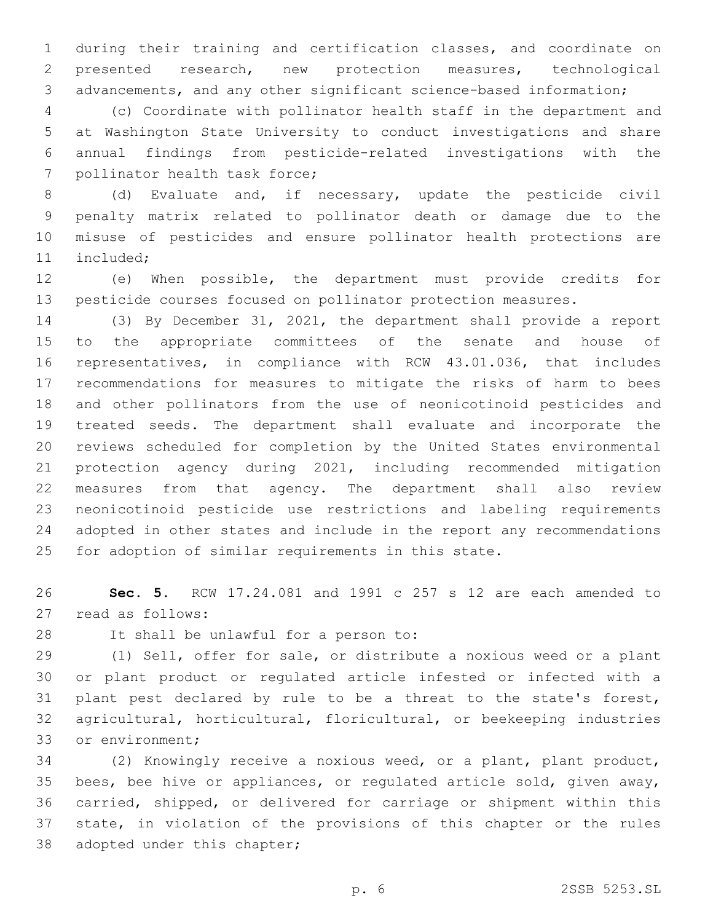during their training and certification classes, and coordinate on presented research, new protection measures, technological advancements, and any other significant science-based information;

 (c) Coordinate with pollinator health staff in the department and at Washington State University to conduct investigations and share annual findings from pesticide-related investigations with the 7 pollinator health task force;

 (d) Evaluate and, if necessary, update the pesticide civil penalty matrix related to pollinator death or damage due to the misuse of pesticides and ensure pollinator health protections are 11 included;

 (e) When possible, the department must provide credits for pesticide courses focused on pollinator protection measures.

 (3) By December 31, 2021, the department shall provide a report to the appropriate committees of the senate and house of representatives, in compliance with RCW 43.01.036, that includes recommendations for measures to mitigate the risks of harm to bees and other pollinators from the use of neonicotinoid pesticides and treated seeds. The department shall evaluate and incorporate the reviews scheduled for completion by the United States environmental protection agency during 2021, including recommended mitigation measures from that agency. The department shall also review neonicotinoid pesticide use restrictions and labeling requirements adopted in other states and include in the report any recommendations for adoption of similar requirements in this state.

 **Sec. 5.** RCW 17.24.081 and 1991 c 257 s 12 are each amended to 27 read as follows:

28 It shall be unlawful for a person to:

 (1) Sell, offer for sale, or distribute a noxious weed or a plant or plant product or regulated article infested or infected with a plant pest declared by rule to be a threat to the state's forest, agricultural, horticultural, floricultural, or beekeeping industries 33 or environment;

 (2) Knowingly receive a noxious weed, or a plant, plant product, bees, bee hive or appliances, or regulated article sold, given away, carried, shipped, or delivered for carriage or shipment within this state, in violation of the provisions of this chapter or the rules 38 adopted under this chapter;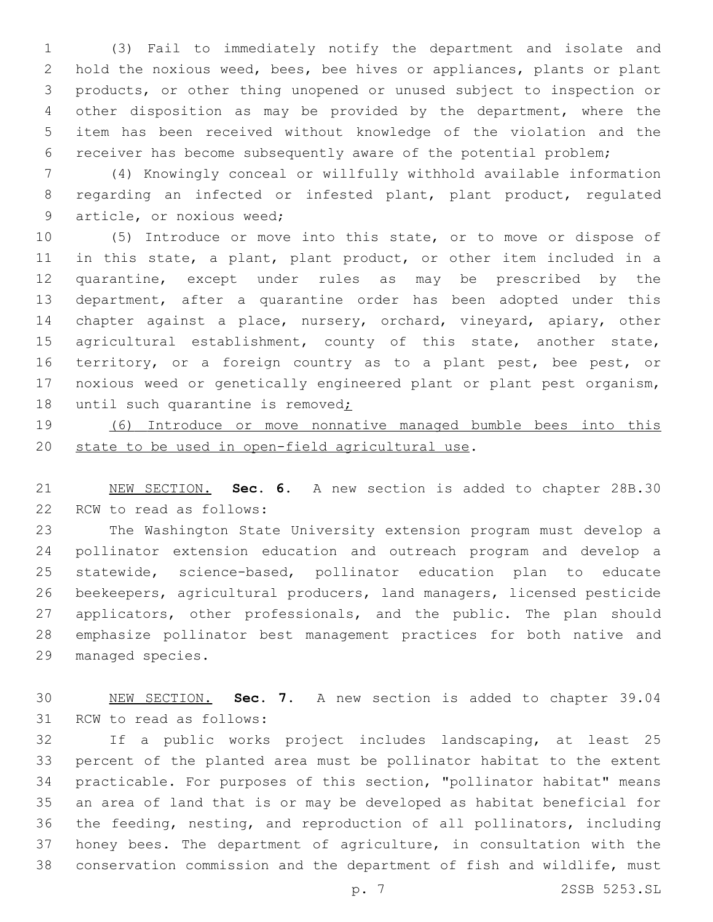(3) Fail to immediately notify the department and isolate and hold the noxious weed, bees, bee hives or appliances, plants or plant products, or other thing unopened or unused subject to inspection or other disposition as may be provided by the department, where the item has been received without knowledge of the violation and the receiver has become subsequently aware of the potential problem;

 (4) Knowingly conceal or willfully withhold available information regarding an infected or infested plant, plant product, regulated 9 article, or noxious weed;

 (5) Introduce or move into this state, or to move or dispose of in this state, a plant, plant product, or other item included in a quarantine, except under rules as may be prescribed by the department, after a quarantine order has been adopted under this chapter against a place, nursery, orchard, vineyard, apiary, other 15 agricultural establishment, county of this state, another state, 16 territory, or a foreign country as to a plant pest, bee pest, or noxious weed or genetically engineered plant or plant pest organism, 18 until such quarantine is removed;

 (6) Introduce or move nonnative managed bumble bees into this 20 state to be used in open-field agricultural use.

 NEW SECTION. **Sec. 6.** A new section is added to chapter 28B.30 22 RCW to read as follows:

 The Washington State University extension program must develop a pollinator extension education and outreach program and develop a statewide, science-based, pollinator education plan to educate beekeepers, agricultural producers, land managers, licensed pesticide 27 applicators, other professionals, and the public. The plan should emphasize pollinator best management practices for both native and 29 managed species.

 NEW SECTION. **Sec. 7.** A new section is added to chapter 39.04 31 RCW to read as follows:

 If a public works project includes landscaping, at least 25 percent of the planted area must be pollinator habitat to the extent practicable. For purposes of this section, "pollinator habitat" means an area of land that is or may be developed as habitat beneficial for the feeding, nesting, and reproduction of all pollinators, including honey bees. The department of agriculture, in consultation with the conservation commission and the department of fish and wildlife, must

p. 7 2SSB 5253.SL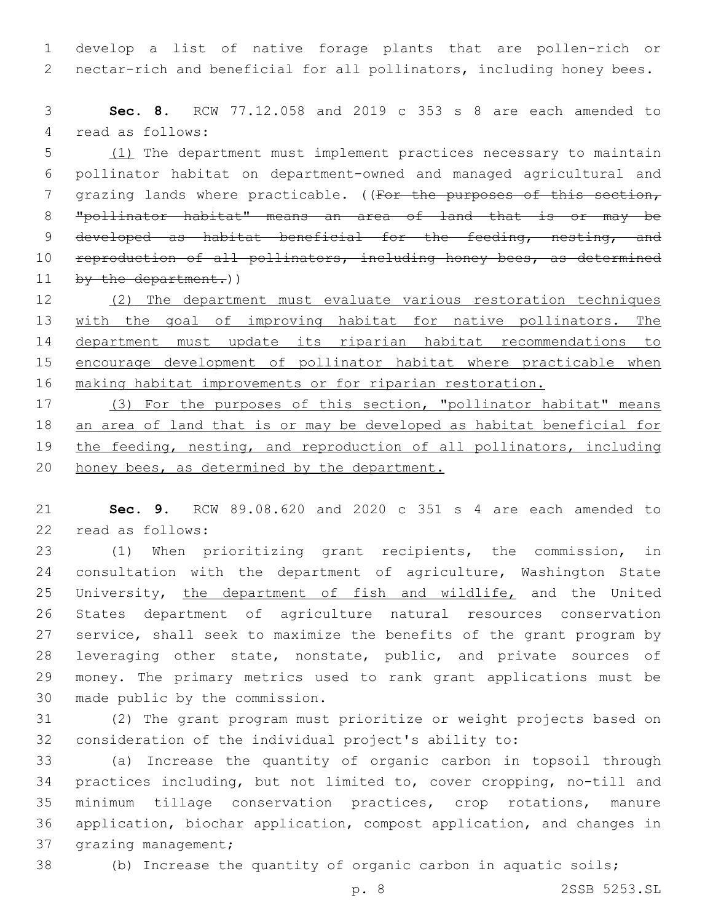develop a list of native forage plants that are pollen-rich or nectar-rich and beneficial for all pollinators, including honey bees.

 **Sec. 8.** RCW 77.12.058 and 2019 c 353 s 8 are each amended to 4 read as follows:

 (1) The department must implement practices necessary to maintain pollinator habitat on department-owned and managed agricultural and 7 grazing lands where practicable. ((For the purposes of this section, "pollinator habitat" means an area of land that is or may be 9 developed as habitat beneficial for the feeding, nesting, and 10 reproduction of all pollinators, including honey bees, as determined 11 by the department.))

 (2) The department must evaluate various restoration techniques 13 with the goal of improving habitat for native pollinators. The department must update its riparian habitat recommendations to encourage development of pollinator habitat where practicable when making habitat improvements or for riparian restoration.

 (3) For the purposes of this section, "pollinator habitat" means an area of land that is or may be developed as habitat beneficial for the feeding, nesting, and reproduction of all pollinators, including 20 honey bees, as determined by the department.

 **Sec. 9.** RCW 89.08.620 and 2020 c 351 s 4 are each amended to 22 read as follows:

 (1) When prioritizing grant recipients, the commission, in consultation with the department of agriculture, Washington State 25 University, the department of fish and wildlife, and the United States department of agriculture natural resources conservation service, shall seek to maximize the benefits of the grant program by 28 leveraging other state, nonstate, public, and private sources of money. The primary metrics used to rank grant applications must be 30 made public by the commission.

 (2) The grant program must prioritize or weight projects based on consideration of the individual project's ability to:

 (a) Increase the quantity of organic carbon in topsoil through practices including, but not limited to, cover cropping, no-till and minimum tillage conservation practices, crop rotations, manure application, biochar application, compost application, and changes in 37 grazing management;

(b) Increase the quantity of organic carbon in aquatic soils;

p. 8 2SSB 5253.SL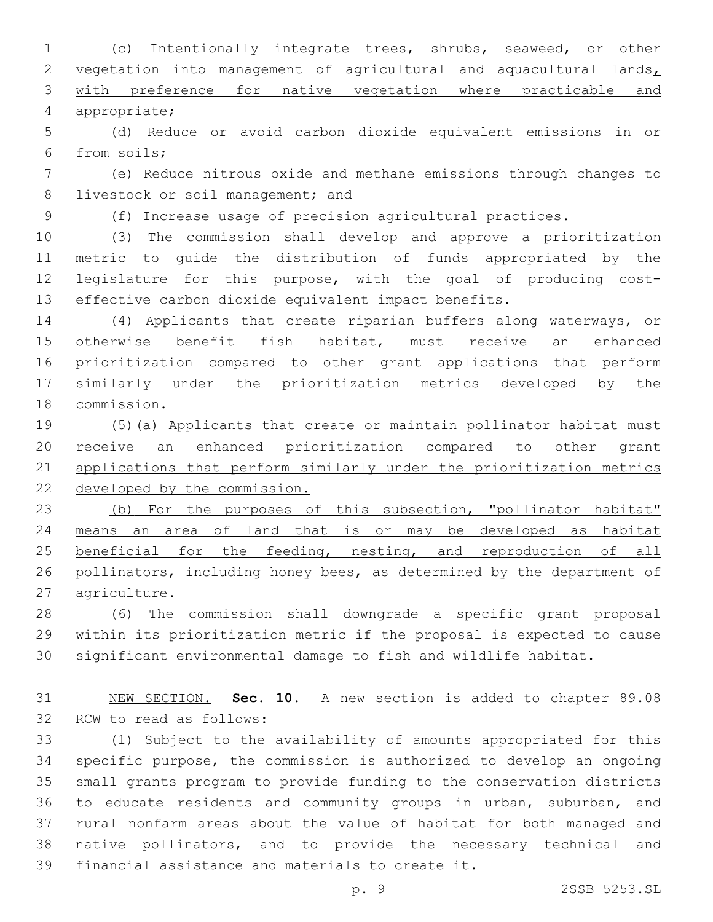(c) Intentionally integrate trees, shrubs, seaweed, or other 2 vegetation into management of agricultural and aquacultural lands, with preference for native vegetation where practicable and appropriate;4

 (d) Reduce or avoid carbon dioxide equivalent emissions in or 6 from soils;

 (e) Reduce nitrous oxide and methane emissions through changes to 8 livestock or soil management; and

(f) Increase usage of precision agricultural practices.

 (3) The commission shall develop and approve a prioritization metric to guide the distribution of funds appropriated by the legislature for this purpose, with the goal of producing cost-effective carbon dioxide equivalent impact benefits.

 (4) Applicants that create riparian buffers along waterways, or otherwise benefit fish habitat, must receive an enhanced prioritization compared to other grant applications that perform similarly under the prioritization metrics developed by the 18 commission.

 (5)(a) Applicants that create or maintain pollinator habitat must 20 receive an enhanced prioritization compared to other grant applications that perform similarly under the prioritization metrics developed by the commission.

 (b) For the purposes of this subsection, "pollinator habitat" means an area of land that is or may be developed as habitat 25 beneficial for the feeding, nesting, and reproduction of all pollinators, including honey bees, as determined by the department of agriculture.

 (6) The commission shall downgrade a specific grant proposal within its prioritization metric if the proposal is expected to cause significant environmental damage to fish and wildlife habitat.

 NEW SECTION. **Sec. 10.** A new section is added to chapter 89.08 32 RCW to read as follows:

 (1) Subject to the availability of amounts appropriated for this specific purpose, the commission is authorized to develop an ongoing small grants program to provide funding to the conservation districts to educate residents and community groups in urban, suburban, and rural nonfarm areas about the value of habitat for both managed and native pollinators, and to provide the necessary technical and 39 financial assistance and materials to create it.